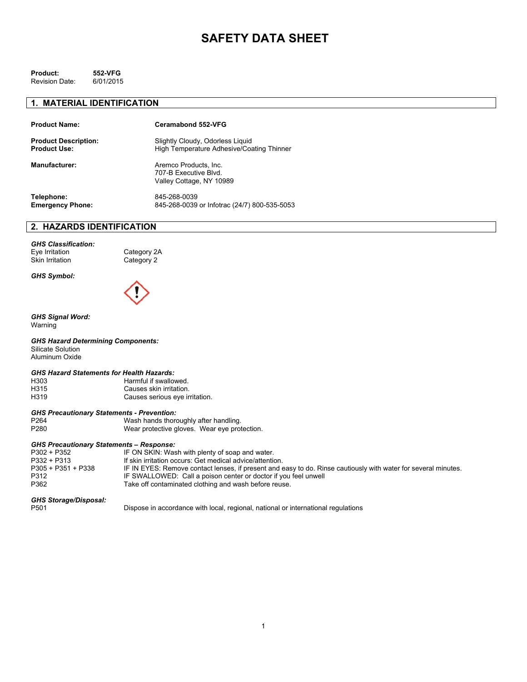# **SAFETY DATA SHEET**

| Product:              | 552-VFG   |
|-----------------------|-----------|
| <b>Revision Date:</b> | 6/01/2015 |

#### **1. MATERIAL IDENTIFICATION**

| <b>Product Name:</b>        | Ceramabond 552-VFG                                                         |
|-----------------------------|----------------------------------------------------------------------------|
| <b>Product Description:</b> | Slightly Cloudy, Odorless Liquid                                           |
| <b>Product Use:</b>         | High Temperature Adhesive/Coating Thinner                                  |
| <b>Manufacturer:</b>        | Aremco Products, Inc.<br>707-B Executive Blvd.<br>Valley Cottage, NY 10989 |
| Telephone:                  | 845-268-0039                                                               |
| <b>Emergency Phone:</b>     | 845-268-0039 or Infotrac (24/7) 800-535-5053                               |

# **2. HAZARDS IDENTIFICATION**

*GHS Classification:*  Eye Irritation Category 2A<br>Skin Irritation Category 2

Category 2

*GHS Symbol:* 



#### *GHS Signal Word:*  Warning

*GHS Hazard Determining Components:*  Silicate Solution Aluminum Oxide

#### *GHS Hazard Statements for Health Hazards:*

| H303 | Harmful if swallowed.          |
|------|--------------------------------|
| H315 | Causes skin irritation.        |
| H319 | Causes serious eye irritation. |

#### *GHS Precautionary Statements - Prevention:*

| P <sub>264</sub> | Wash hands thoroughly after handling.        |
|------------------|----------------------------------------------|
| P <sub>280</sub> | Wear protective gloves. Wear eye protection. |

#### *GHS Precautionary Statements – Response:*

| P302 + P352          | IF ON SKIN: Wash with plenty of soap and water.                                                                |
|----------------------|----------------------------------------------------------------------------------------------------------------|
| P332 + P313          | If skin irritation occurs: Get medical advice/attention.                                                       |
| $P305 + P351 + P338$ | IF IN EYES: Remove contact lenses, if present and easy to do. Rinse cautiously with water for several minutes. |
| P312                 | IF SWALLOWED: Call a poison center or doctor if you feel unwell                                                |
| P362                 | Take off contaminated clothing and wash before reuse.                                                          |
|                      |                                                                                                                |

# *GHS Storage/Disposal:*

Dispose in accordance with local, regional, national or international regulations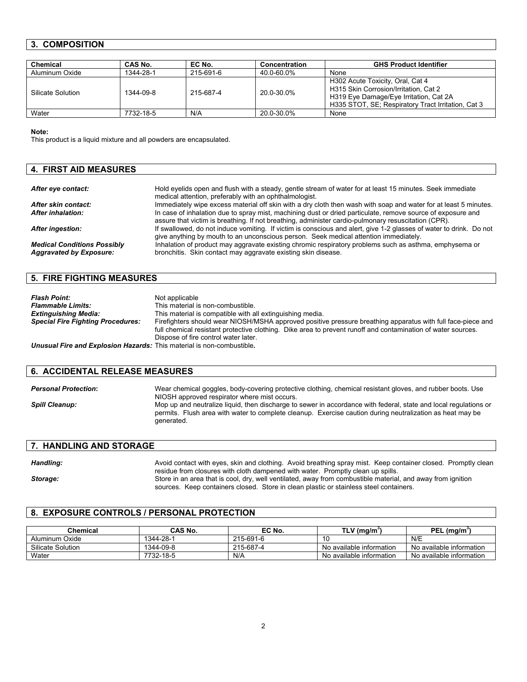# **3. COMPOSITION**

| Chemical          | CAS No.   | EC No.    | Concentration | <b>GHS Product Identifier</b>                                                                                                                                             |
|-------------------|-----------|-----------|---------------|---------------------------------------------------------------------------------------------------------------------------------------------------------------------------|
| Aluminum Oxide    | 1344-28-1 | 215-691-6 | 40.0-60.0%    | None                                                                                                                                                                      |
| Silicate Solution | 1344-09-8 | 215-687-4 | 20.0-30.0%    | H302 Acute Toxicity, Oral, Cat 4<br>H315 Skin Corrosion/Irritation, Cat 2<br>H319 Eye Damage/Eye Irritation, Cat 2A<br>H335 STOT, SE; Respiratory Tract Irritation, Cat 3 |
| Water             | 7732-18-5 | N/A       | 20.0-30.0%    | None                                                                                                                                                                      |

**Note:** 

This product is a liquid mixture and all powders are encapsulated.

| <b>4. FIRST AID MEASURES</b>                                         |                                                                                                                                                                                                                    |
|----------------------------------------------------------------------|--------------------------------------------------------------------------------------------------------------------------------------------------------------------------------------------------------------------|
|                                                                      |                                                                                                                                                                                                                    |
| After eye contact:                                                   | Hold eyelids open and flush with a steady, gentle stream of water for at least 15 minutes. Seek immediate<br>medical attention, preferably with an ophthalmologist.                                                |
| After skin contact:                                                  | Immediately wipe excess material off skin with a dry cloth then wash with soap and water for at least 5 minutes.                                                                                                   |
| After inhalation:                                                    | In case of inhalation due to spray mist, machining dust or dried particulate, remove source of exposure and<br>assure that victim is breathing. If not breathing, administer cardio-pulmonary resuscitation (CPR). |
| <b>After ingestion:</b>                                              | If swallowed, do not induce vomiting. If victim is conscious and alert, give 1-2 glasses of water to drink. Do not<br>give anything by mouth to an unconscious person. Seek medical attention immediately.         |
| <b>Medical Conditions Possibly</b><br><b>Aggravated by Exposure:</b> | Inhalation of product may aggravate existing chromic respiratory problems such as asthma, emphysema or<br>bronchitis. Skin contact may aggravate existing skin disease.                                            |

### **5. FIRE FIGHTING MEASURES**

| <b>Flash Point:</b>                                                          | Not applicable                                                                                               |
|------------------------------------------------------------------------------|--------------------------------------------------------------------------------------------------------------|
| <b>Flammable Limits:</b>                                                     | This material is non-combustible.                                                                            |
| <b>Extinguishing Media:</b>                                                  | This material is compatible with all extinguishing media.                                                    |
| <b>Special Fire Fighting Procedures:</b>                                     | Firefighters should wear NIOSH/MSHA approved positive pressure breathing apparatus with full face-piece and  |
|                                                                              | full chemical resistant protective clothing. Dike area to prevent runoff and contamination of water sources. |
|                                                                              | Dispose of fire control water later.                                                                         |
| <b>Unusual Fire and Explosion Hazards:</b> This material is non-combustible. |                                                                                                              |

# **6. ACCIDENTAL RELEASE MEASURES**

| <b>Personal Protection:</b> | Wear chemical goggles, body-covering protective clothing, chemical resistant gloves, and rubber boots. Use<br>NIOSH approved respirator where mist occurs.                                                                                  |
|-----------------------------|---------------------------------------------------------------------------------------------------------------------------------------------------------------------------------------------------------------------------------------------|
| <b>Spill Cleanup:</b>       | Mop up and neutralize liquid, then discharge to sewer in accordance with federal, state and local regulations or<br>permits. Flush area with water to complete cleanup. Exercise caution during neutralization as heat may be<br>generated. |

# **7. HANDLING AND STORAGE**

| Handling: | Avoid contact with eyes, skin and clothing. Avoid breathing spray mist. Keep container closed. Promptly clean |
|-----------|---------------------------------------------------------------------------------------------------------------|
|           | residue from closures with cloth dampened with water. Promptly clean up spills.                               |
| Storage:  | Store in an area that is cool, dry, well ventilated, away from combustible material, and away from ignition   |
|           | sources. Keep containers closed. Store in clean plastic or stainless steel containers.                        |

# **8. EXPOSURE CONTROLS / PERSONAL PROTECTION**

| Chemical          | CAS No.   | EC No.    | TLV (mg/m                | <b>PEL</b><br>. (ma/m̃   |
|-------------------|-----------|-----------|--------------------------|--------------------------|
| Aluminum Oxide    | 1344-28-1 | 215-691-6 | -10                      | N/E                      |
| Silicate Solution | 1344-09-8 | 215-687-4 | No available information | No available information |
| Water             | 7732-18-5 | N/A       | No available information | No available information |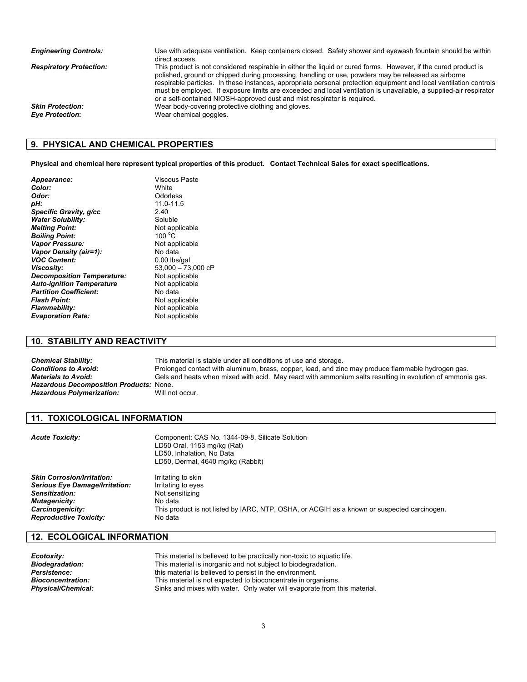| <b>Engineering Controls:</b>   | Use with adequate ventilation. Keep containers closed. Safety shower and eyewash fountain should be within<br>direct access.                                                                                                                                                                                                                                                                                                                                                                                                                  |
|--------------------------------|-----------------------------------------------------------------------------------------------------------------------------------------------------------------------------------------------------------------------------------------------------------------------------------------------------------------------------------------------------------------------------------------------------------------------------------------------------------------------------------------------------------------------------------------------|
| <b>Respiratory Protection:</b> | This product is not considered respirable in either the liquid or cured forms. However, if the cured product is<br>polished, ground or chipped during processing, handling or use, powders may be released as airborne<br>respirable particles. In these instances, appropriate personal protection equipment and local ventilation controls<br>must be employed. If exposure limits are exceeded and local ventilation is unavailable, a supplied-air respirator<br>or a self-contained NIOSH-approved dust and mist respirator is required. |
| <b>Skin Protection:</b>        | Wear body-covering protective clothing and gloves.                                                                                                                                                                                                                                                                                                                                                                                                                                                                                            |
| <b>Eye Protection:</b>         | Wear chemical goggles.                                                                                                                                                                                                                                                                                                                                                                                                                                                                                                                        |

### **9. PHYSICAL AND CHEMICAL PROPERTIES**

**Physical and chemical here represent typical properties of this product. Contact Technical Sales for exact specifications.** 

| Viscous Paste        |
|----------------------|
| White                |
| Odorless             |
| 11.0-11.5            |
| 2.40                 |
| Soluble              |
| Not applicable       |
| $100^{\circ}$ C      |
| Not applicable       |
| No data              |
| 0.00 lbs/gal         |
| $53,000 - 73,000$ cP |
| Not applicable       |
| Not applicable       |
| No data              |
| Not applicable       |
| Not applicable       |
| Not applicable       |
|                      |

### **10. STABILITY AND REACTIVITY**

**Chemical Stability:** This material is stable under all conditions of use and storage.<br> **Conditions to Avoid:** Prolonged contact with aluminum, brass, copper, lead, and zin *Conditions to Avoid:* Prolonged contact with aluminum, brass, copper, lead, and zinc may produce flammable hydrogen gas. *Materials to Avoid:* Gels and heats when mixed with acid. May react with ammonium salts resulting in evolution of ammonia gas. *Hazardous Decomposition Products:* None. **Hazardous Polymerization:** Will not occur.

### **11. TOXICOLOGICAL INFORMATION**

| This product is not listed by IARC, NTP, OSHA, or ACGIH as a known or suspected carcinogen. |
|---------------------------------------------------------------------------------------------|
|                                                                                             |

## **12. ECOLOGICAL INFORMATION**

| Ecotoxity:             | This material is believed to be practically non-toxic to aquatic life.    |
|------------------------|---------------------------------------------------------------------------|
| <b>Biodegradation:</b> | This material is inorganic and not subject to biodegradation.             |
| Persistence:           | this material is believed to persist in the environment.                  |
| Bioconcentration:      | This material is not expected to bioconcentrate in organisms.             |
| Physical/Chemical:     | Sinks and mixes with water. Only water will evaporate from this material. |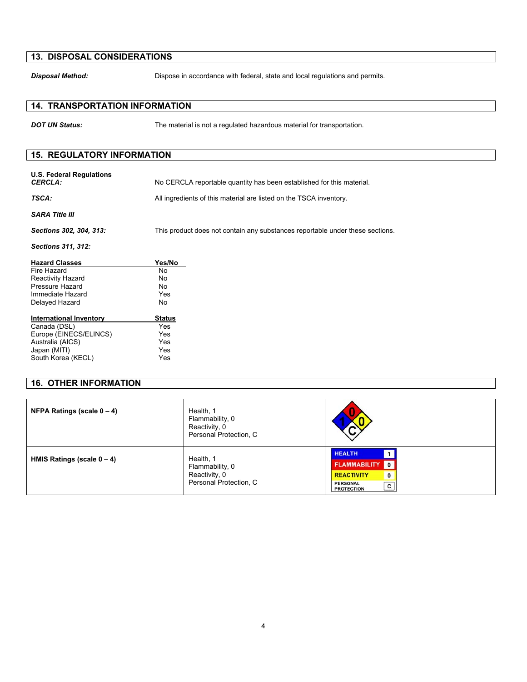## **13. DISPOSAL CONSIDERATIONS**

**Disposal Method:** Dispose in accordance with federal, state and local regulations and permits.

## **14. TRANSPORTATION INFORMATION**

**DOT UN Status:** The material is not a regulated hazardous material for transportation.

### **15. REGULATORY INFORMATION**

| Sections 302, 304, 313:   | This product does not contain any substances reportable under these sections. |
|---------------------------|-------------------------------------------------------------------------------|
| <b>Sections 311, 312:</b> |                                                                               |
| <b>Hazard Classes</b>     | Yes/No                                                                        |

| Fire Hazard              | N٥  |
|--------------------------|-----|
| <b>Reactivity Hazard</b> | N٥  |
| Pressure Hazard          | N٥  |
| Immediate Hazard         | Yes |
| Delayed Hazard           | N٥  |
|                          |     |

| <b>International Inventory</b> | <b>Status</b> |
|--------------------------------|---------------|
| Canada (DSL)                   | Yes           |
| Europe (EINECS/ELINCS)         | Yes           |
| Australia (AICS)               | Yes           |
| Japan (MITI)                   | Yes           |
| South Korea (KECL)             | Yes           |

# **16. OTHER INFORMATION**

| <b>NFPA Ratings (scale <math>0 - 4</math>)</b> | Health, 1<br>Flammability, 0<br>Reactivity, 0<br>Personal Protection, C | $\rightarrow$                                                                                                                                     |
|------------------------------------------------|-------------------------------------------------------------------------|---------------------------------------------------------------------------------------------------------------------------------------------------|
| HMIS Ratings (scale $0 - 4$ )                  | Health, 1<br>Flammability, 0<br>Reactivity, 0<br>Personal Protection, C | <b>HEALTH</b><br><b>FLAMMABILITY</b><br>$\mathbf{0}$<br><b>REACTIVITY</b><br>$\mathbf{0}$<br><b>PERSONAL</b><br>$\mathbf{c}$<br><b>PROTECTION</b> |